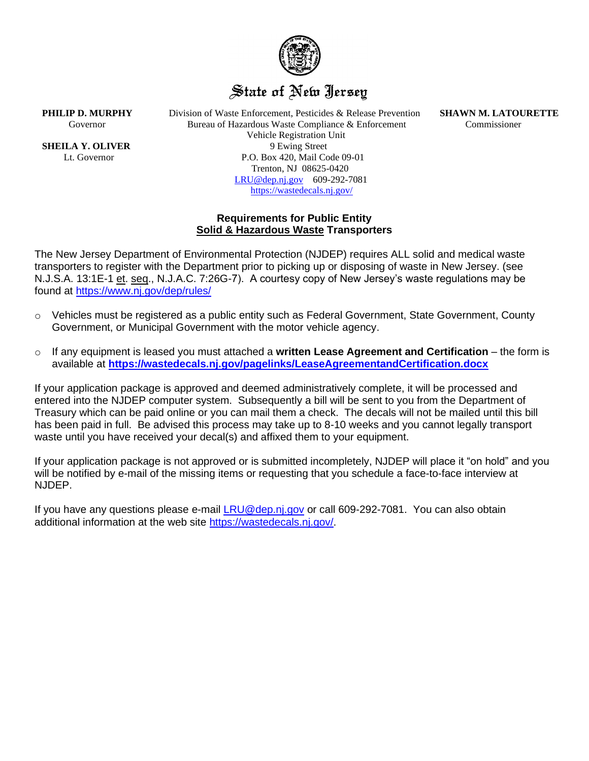

## State of New Jersey

**PHILIP D. MURPHY** Division of Waste Enforcement, Pesticides & Release Prevention **SHAWN M. LATOURETTE** Governor Bureau of Hazardous Waste Compliance & Enforcement Commissioner Vehicle Registration Unit **SHEILA Y. OLIVER** 9 Ewing Street Lt. Governor P.O. Box 420, Mail Code 09-01 Trenton, NJ 08625-0420 [LRU@dep.nj.gov](mailto:LRU@dep.nj.gov) 609-292-7081 <https://wastedecals.nj.gov/>

## **Requirements for Public Entity Solid & Hazardous Waste Transporters**

The New Jersey Department of Environmental Protection (NJDEP) requires ALL solid and medical waste transporters to register with the Department prior to picking up or disposing of waste in New Jersey. (see N.J.S.A. 13:1E-1 et. seq., N.J.A.C. 7:26G-7). A courtesy copy of New Jersey's waste regulations may be found at<https://www.nj.gov/dep/rules/>

- $\circ$  Vehicles must be registered as a public entity such as Federal Government, State Government, County Government, or Municipal Government with the motor vehicle agency.
- o If any equipment is leased you must attached a **written Lease Agreement and Certification**  the form is available at **<https://wastedecals.nj.gov/pagelinks/LeaseAgreementandCertification.docx>**

If your application package is approved and deemed administratively complete, it will be processed and entered into the NJDEP computer system. Subsequently a bill will be sent to you from the Department of Treasury which can be paid online or you can mail them a check. The decals will not be mailed until this bill has been paid in full. Be advised this process may take up to 8-10 weeks and you cannot legally transport waste until you have received your decal(s) and affixed them to your equipment.

If your application package is not approved or is submitted incompletely, NJDEP will place it "on hold" and you will be notified by e-mail of the missing items or requesting that you schedule a face-to-face interview at NJDEP.

If you have any questions please e-mail [LRU@dep.nj.gov](mailto:LRU@dep.nj.gov) or call 609-292-7081. You can also obtain additional information at the web site https://wastedecals.nj.gov/.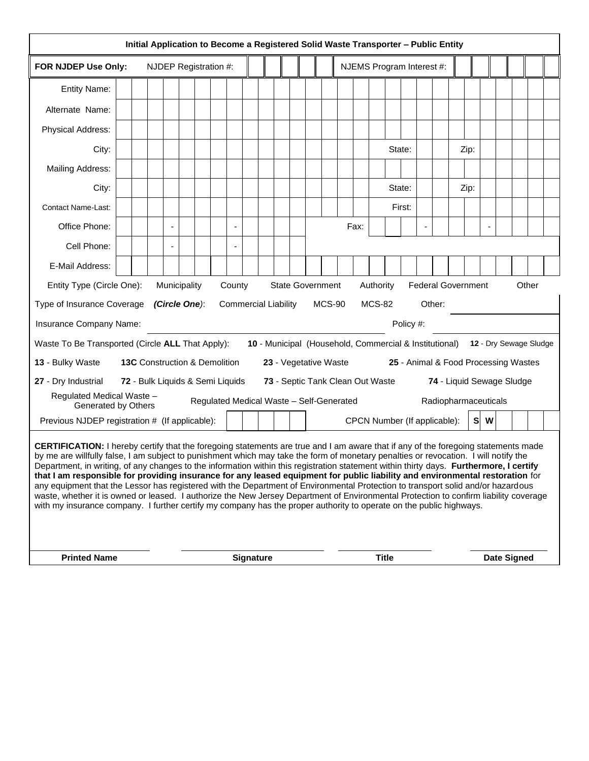| Initial Application to Become a Registered Solid Waste Transporter - Public Entity                                                                                                                                                                                                                                                                                                                                                                                                                                                                                                                                                                                                                                                                                                                                                                                                                                                                         |  |  |  |                  |  |                       |  |  |  |  |  |              |                           |      |  |        |  |  |  |                    |      |  |  |  |  |  |
|------------------------------------------------------------------------------------------------------------------------------------------------------------------------------------------------------------------------------------------------------------------------------------------------------------------------------------------------------------------------------------------------------------------------------------------------------------------------------------------------------------------------------------------------------------------------------------------------------------------------------------------------------------------------------------------------------------------------------------------------------------------------------------------------------------------------------------------------------------------------------------------------------------------------------------------------------------|--|--|--|------------------|--|-----------------------|--|--|--|--|--|--------------|---------------------------|------|--|--------|--|--|--|--------------------|------|--|--|--|--|--|
| FOR NJDEP Use Only:                                                                                                                                                                                                                                                                                                                                                                                                                                                                                                                                                                                                                                                                                                                                                                                                                                                                                                                                        |  |  |  |                  |  | NJDEP Registration #: |  |  |  |  |  |              | NJEMS Program Interest #: |      |  |        |  |  |  |                    |      |  |  |  |  |  |
| <b>Entity Name:</b>                                                                                                                                                                                                                                                                                                                                                                                                                                                                                                                                                                                                                                                                                                                                                                                                                                                                                                                                        |  |  |  |                  |  |                       |  |  |  |  |  |              |                           |      |  |        |  |  |  |                    |      |  |  |  |  |  |
| Alternate Name:                                                                                                                                                                                                                                                                                                                                                                                                                                                                                                                                                                                                                                                                                                                                                                                                                                                                                                                                            |  |  |  |                  |  |                       |  |  |  |  |  |              |                           |      |  |        |  |  |  |                    |      |  |  |  |  |  |
| Physical Address:                                                                                                                                                                                                                                                                                                                                                                                                                                                                                                                                                                                                                                                                                                                                                                                                                                                                                                                                          |  |  |  |                  |  |                       |  |  |  |  |  |              |                           |      |  |        |  |  |  |                    |      |  |  |  |  |  |
| City:                                                                                                                                                                                                                                                                                                                                                                                                                                                                                                                                                                                                                                                                                                                                                                                                                                                                                                                                                      |  |  |  |                  |  |                       |  |  |  |  |  |              | State:<br>Zip:            |      |  |        |  |  |  |                    |      |  |  |  |  |  |
| Mailing Address:                                                                                                                                                                                                                                                                                                                                                                                                                                                                                                                                                                                                                                                                                                                                                                                                                                                                                                                                           |  |  |  |                  |  |                       |  |  |  |  |  |              |                           |      |  |        |  |  |  |                    |      |  |  |  |  |  |
| City:                                                                                                                                                                                                                                                                                                                                                                                                                                                                                                                                                                                                                                                                                                                                                                                                                                                                                                                                                      |  |  |  |                  |  |                       |  |  |  |  |  |              |                           |      |  | State: |  |  |  |                    | Zip: |  |  |  |  |  |
| <b>Contact Name-Last:</b>                                                                                                                                                                                                                                                                                                                                                                                                                                                                                                                                                                                                                                                                                                                                                                                                                                                                                                                                  |  |  |  |                  |  |                       |  |  |  |  |  |              |                           |      |  | First: |  |  |  |                    |      |  |  |  |  |  |
| Office Phone:                                                                                                                                                                                                                                                                                                                                                                                                                                                                                                                                                                                                                                                                                                                                                                                                                                                                                                                                              |  |  |  |                  |  |                       |  |  |  |  |  |              |                           | Fax: |  |        |  |  |  |                    |      |  |  |  |  |  |
| Cell Phone:                                                                                                                                                                                                                                                                                                                                                                                                                                                                                                                                                                                                                                                                                                                                                                                                                                                                                                                                                |  |  |  |                  |  |                       |  |  |  |  |  |              |                           |      |  |        |  |  |  |                    |      |  |  |  |  |  |
| E-Mail Address:                                                                                                                                                                                                                                                                                                                                                                                                                                                                                                                                                                                                                                                                                                                                                                                                                                                                                                                                            |  |  |  |                  |  |                       |  |  |  |  |  |              |                           |      |  |        |  |  |  |                    |      |  |  |  |  |  |
| <b>State Government</b><br>Authority<br><b>Federal Government</b><br>Other<br>Entity Type (Circle One):<br>Municipality<br>County                                                                                                                                                                                                                                                                                                                                                                                                                                                                                                                                                                                                                                                                                                                                                                                                                          |  |  |  |                  |  |                       |  |  |  |  |  |              |                           |      |  |        |  |  |  |                    |      |  |  |  |  |  |
| <b>Commercial Liability</b><br><b>MCS-90</b><br><b>MCS-82</b><br>Type of Insurance Coverage<br>(Circle One):<br>Other:                                                                                                                                                                                                                                                                                                                                                                                                                                                                                                                                                                                                                                                                                                                                                                                                                                     |  |  |  |                  |  |                       |  |  |  |  |  |              |                           |      |  |        |  |  |  |                    |      |  |  |  |  |  |
| Insurance Company Name:<br>Policy #:                                                                                                                                                                                                                                                                                                                                                                                                                                                                                                                                                                                                                                                                                                                                                                                                                                                                                                                       |  |  |  |                  |  |                       |  |  |  |  |  |              |                           |      |  |        |  |  |  |                    |      |  |  |  |  |  |
| Waste To Be Transported (Circle ALL That Apply):<br>10 - Municipal (Household, Commercial & Institutional) 12 - Dry Sewage Sludge                                                                                                                                                                                                                                                                                                                                                                                                                                                                                                                                                                                                                                                                                                                                                                                                                          |  |  |  |                  |  |                       |  |  |  |  |  |              |                           |      |  |        |  |  |  |                    |      |  |  |  |  |  |
| 13 - Bulky Waste<br><b>13C</b> Construction & Demolition<br>23 - Vegetative Waste<br>25 - Animal & Food Processing Wastes                                                                                                                                                                                                                                                                                                                                                                                                                                                                                                                                                                                                                                                                                                                                                                                                                                  |  |  |  |                  |  |                       |  |  |  |  |  |              |                           |      |  |        |  |  |  |                    |      |  |  |  |  |  |
| 27 - Dry Industrial<br>72 - Bulk Liquids & Semi Liquids<br>73 - Septic Tank Clean Out Waste<br>74 - Liquid Sewage Sludge                                                                                                                                                                                                                                                                                                                                                                                                                                                                                                                                                                                                                                                                                                                                                                                                                                   |  |  |  |                  |  |                       |  |  |  |  |  |              |                           |      |  |        |  |  |  |                    |      |  |  |  |  |  |
| Regulated Medical Waste -<br>Regulated Medical Waste - Self-Generated<br>Radiopharmaceuticals<br>Generated by Others                                                                                                                                                                                                                                                                                                                                                                                                                                                                                                                                                                                                                                                                                                                                                                                                                                       |  |  |  |                  |  |                       |  |  |  |  |  |              |                           |      |  |        |  |  |  |                    |      |  |  |  |  |  |
| Previous NJDEP registration # (If applicable):<br>CPCN Number (If applicable):<br>S<br>W                                                                                                                                                                                                                                                                                                                                                                                                                                                                                                                                                                                                                                                                                                                                                                                                                                                                   |  |  |  |                  |  |                       |  |  |  |  |  |              |                           |      |  |        |  |  |  |                    |      |  |  |  |  |  |
| CERTIFICATION: I hereby certify that the foregoing statements are true and I am aware that if any of the foregoing statements made<br>by me are willfully false, I am subject to punishment which may take the form of monetary penalties or revocation. I will notify the<br>Department, in writing, of any changes to the information within this registration statement within thirty days. Furthermore, I certify<br>that I am responsible for providing insurance for any leased equipment for public liability and environmental restoration for<br>any equipment that the Lessor has registered with the Department of Environmental Protection to transport solid and/or hazardous<br>waste, whether it is owned or leased. I authorize the New Jersey Department of Environmental Protection to confirm liability coverage<br>with my insurance company. I further certify my company has the proper authority to operate on the public highways. |  |  |  |                  |  |                       |  |  |  |  |  |              |                           |      |  |        |  |  |  |                    |      |  |  |  |  |  |
| <b>Printed Name</b>                                                                                                                                                                                                                                                                                                                                                                                                                                                                                                                                                                                                                                                                                                                                                                                                                                                                                                                                        |  |  |  | <b>Signature</b> |  |                       |  |  |  |  |  | <b>Title</b> |                           |      |  |        |  |  |  | <b>Date Signed</b> |      |  |  |  |  |  |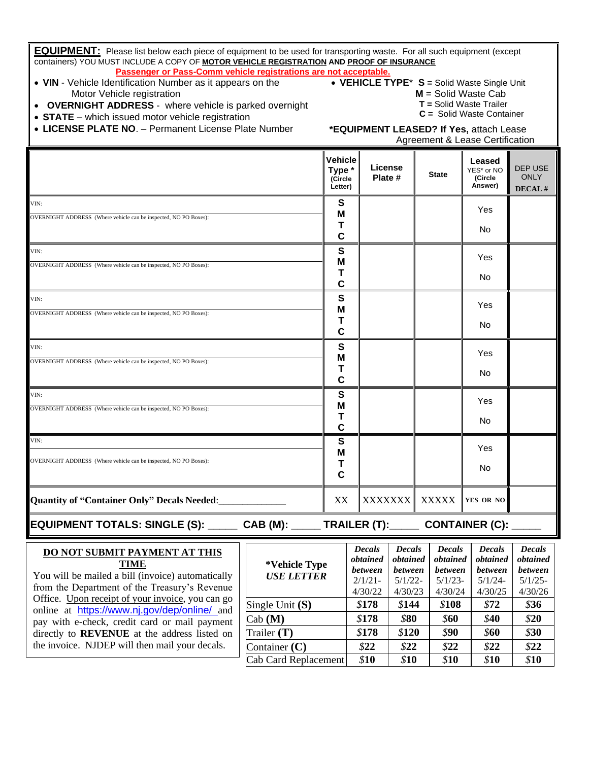| <b>EQUIPMENT:</b> Please list below each piece of equipment to be used for transporting waste. For all such equipment (except<br>containers) YOU MUST INCLUDE A COPY OF MOTOR VEHICLE REGISTRATION AND PROOF OF INSURANCE<br>Passenger or Pass-Comm vehicle registrations are not acceptable. |                                                                                                                                                                                                              |                                                |                                                                      |                                                               |                                                               |                                                               |                                                               |  |  |  |  |  |
|-----------------------------------------------------------------------------------------------------------------------------------------------------------------------------------------------------------------------------------------------------------------------------------------------|--------------------------------------------------------------------------------------------------------------------------------------------------------------------------------------------------------------|------------------------------------------------|----------------------------------------------------------------------|---------------------------------------------------------------|---------------------------------------------------------------|---------------------------------------------------------------|---------------------------------------------------------------|--|--|--|--|--|
| • VIN - Vehicle Identification Number as it appears on the<br>Motor Vehicle registration<br><b>OVERNIGHT ADDRESS</b> - where vehicle is parked overnight<br>• STATE – which issued motor vehicle registration<br>• LICENSE PLATE NO. - Permanent License Plate Number                         | • VEHICLE TYPE* S = Solid Waste Single Unit<br>$M =$ Solid Waste Cab<br>T = Solid Waste Trailer<br>$C =$ Solid Waste Container<br>*EQUIPMENT LEASED? If Yes, attach Lease<br>Agreement & Lease Certification |                                                |                                                                      |                                                               |                                                               |                                                               |                                                               |  |  |  |  |  |
|                                                                                                                                                                                                                                                                                               |                                                                                                                                                                                                              | <b>Vehicle</b><br>Type *<br>(Circle<br>Letter) | License<br>Plate #                                                   |                                                               | <b>State</b>                                                  | Leased<br>YES* or NO<br>(Circle<br>Answer)                    | DEP USE<br><b>ONLY</b><br>DECAL#                              |  |  |  |  |  |
| VIN:<br>OVERNIGHT ADDRESS (Where vehicle can be inspected, NO PO Boxes):                                                                                                                                                                                                                      |                                                                                                                                                                                                              | S<br>Μ<br>Τ<br>C                               |                                                                      |                                                               |                                                               | Yes<br>No                                                     |                                                               |  |  |  |  |  |
| VIN:<br>OVERNIGHT ADDRESS (Where vehicle can be inspected, NO PO Boxes):                                                                                                                                                                                                                      |                                                                                                                                                                                                              | S<br>Μ<br>Τ<br>$\mathbf c$                     |                                                                      |                                                               |                                                               | Yes<br>No                                                     |                                                               |  |  |  |  |  |
| VIN:<br>OVERNIGHT ADDRESS (Where vehicle can be inspected, NO PO Boxes):                                                                                                                                                                                                                      |                                                                                                                                                                                                              | S<br>Μ<br>Т<br>$\mathbf c$                     |                                                                      |                                                               |                                                               | Yes<br>No                                                     |                                                               |  |  |  |  |  |
| VIN:<br>OVERNIGHT ADDRESS (Where vehicle can be inspected, NO PO Boxes):                                                                                                                                                                                                                      |                                                                                                                                                                                                              | S<br>Μ<br>Т<br>$\mathbf c$                     |                                                                      |                                                               |                                                               | Yes<br>No.                                                    |                                                               |  |  |  |  |  |
| VIN:<br>OVERNIGHT ADDRESS (Where vehicle can be inspected, NO PO Boxes):                                                                                                                                                                                                                      |                                                                                                                                                                                                              | S<br>M<br>Τ<br>$\mathbf c$                     |                                                                      |                                                               |                                                               | Yes<br>No                                                     |                                                               |  |  |  |  |  |
| VIN:<br>OVERNIGHT ADDRESS (Where vehicle can be inspected, NO PO Boxes):                                                                                                                                                                                                                      |                                                                                                                                                                                                              | S<br>Μ<br>Τ<br>C                               |                                                                      |                                                               |                                                               | Yes<br>No                                                     |                                                               |  |  |  |  |  |
| Quantity of "Container Only" Decals Needed:                                                                                                                                                                                                                                                   |                                                                                                                                                                                                              | XX                                             | <b>XXXXXXX</b>                                                       |                                                               | <b>XXXXX</b>                                                  | YES OR NO                                                     |                                                               |  |  |  |  |  |
| <b>EQUIPMENT TOTALS: SINGLE (S): _____</b>                                                                                                                                                                                                                                                    | CAB(M):                                                                                                                                                                                                      |                                                | <b>TRAILER (T):_____</b>                                             |                                                               |                                                               | <b>CONTAINER (C):</b>                                         |                                                               |  |  |  |  |  |
| DO NOT SUBMIT PAYMENT AT THIS<br><b>TIME</b><br>You will be mailed a bill (invoice) automatically<br>from the Department of the Treasury's Revenue                                                                                                                                            | *Vehicle Type<br><b>USE LETTER</b>                                                                                                                                                                           |                                                | <b>Decals</b><br>obtained<br><b>between</b><br>$2/1/21 -$<br>4/30/22 | <b>Decals</b><br>obtained<br>between<br>$5/1/22 -$<br>4/30/23 | <b>Decals</b><br>obtained<br>between<br>$5/1/23$ -<br>4/30/24 | <b>Decals</b><br>obtained<br>between<br>$5/1/24$ -<br>4/30/25 | <b>Decals</b><br>obtained<br>between<br>$5/1/25$ -<br>4/30/26 |  |  |  |  |  |
| Office. Upon receipt of your invoice, you can go<br>online at https://www.nj.gov/dep/online/ and<br>pay with e-check, credit card or mail payment<br>directly to REVENUE at the address listed on                                                                                             | Single Unit $(S)$<br>$\mathrm{Cab}\left(\mathbf{M}\right)$<br>Trailer $(T)$                                                                                                                                  |                                                | \$178<br>\$178<br>\$178                                              | \$144<br>\$80<br>\$120                                        | \$108<br>\$60<br>\$90                                         | \$72<br>\$40<br>\$60                                          | \$36<br>\$20<br>\$30                                          |  |  |  |  |  |
| the invoice. NJDEP will then mail your decals.                                                                                                                                                                                                                                                | Container $(C)$<br><b>Cab Card Replacement</b>                                                                                                                                                               |                                                | \$22<br>\$10                                                         | \$22<br>\$10                                                  | \$22<br>\$10                                                  | \$22<br>\$10                                                  | \$22<br>\$10                                                  |  |  |  |  |  |